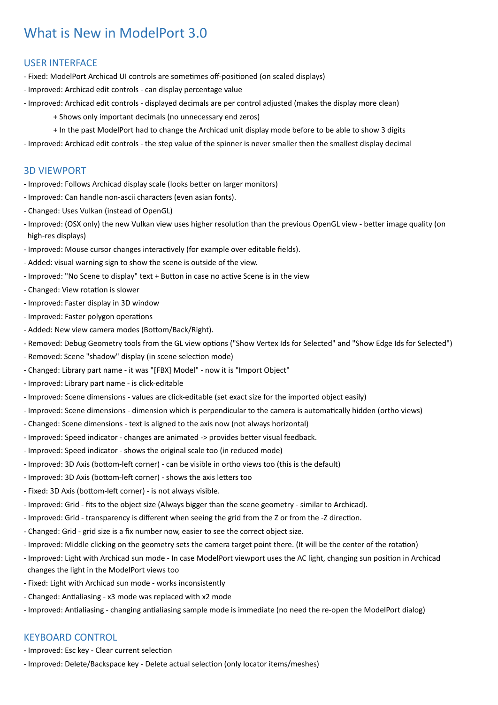# What is New in ModelPort 3.0

### USER INTERFACE

- Fixed: ModelPort Archicad UI controls are sometimes off-positioned (on scaled displays)
- Improved: Archicad edit controls can display percentage value
- Improved: Archicad edit controls displayed decimals are per control adjusted (makes the display more clean)
	- + Shows only important decimals (no unnecessary end zeros)
	- + In the past ModelPort had to change the Archicad unit display mode before to be able to show 3 digits
- Improved: Archicad edit controls the step value of the spinner is never smaller then the smallest display decimal

### 3D VIEWPORT

- Improved: Follows Archicad display scale (looks better on larger monitors)
- Improved: Can handle non-ascii characters (even asian fonts).
- Changed: Uses Vulkan (instead of OpenGL)
- Improved: (OSX only) the new Vulkan view uses higher resolution than the previous OpenGL view better image quality (on high-res displays)
- Improved: Mouse cursor changes interactively (for example over editable fields).
- Added: visual warning sign to show the scene is outside of the view.
- Improved: "No Scene to display" text + Button in case no active Scene is in the view
- Changed: View rotation is slower
- Improved: Faster display in 3D window
- Improved: Faster polygon operations
- Added: New view camera modes (Bottom/Back/Right).
- Removed: Debug Geometry tools from the GL view options ("Show Vertex Ids for Selected" and "Show Edge Ids for Selected")
- Removed: Scene "shadow" display (in scene selection mode)
- Changed: Library part name it was "[FBX] Model" now it is "Import Object"
- Improved: Library part name is click-editable
- Improved: Scene dimensions values are click-editable (set exact size for the imported object easily)
- Improved: Scene dimensions dimension which is perpendicular to the camera is automatically hidden (ortho views)
- Changed: Scene dimensions text is aligned to the axis now (not always horizontal)
- Improved: Speed indicator changes are animated -> provides better visual feedback.
- Improved: Speed indicator shows the original scale too (in reduced mode)
- Improved: 3D Axis (bottom-left corner) can be visible in ortho views too (this is the default)
- Improved: 3D Axis (bottom-left corner) shows the axis letters too
- Fixed: 3D Axis (bottom-left corner) is not always visible.
- Improved: Grid fits to the object size (Always bigger than the scene geometry similar to Archicad).
- Improved: Grid transparency is different when seeing the grid from the Z or from the -Z direction.
- Changed: Grid grid size is a fix number now, easier to see the correct object size.
- Improved: Middle clicking on the geometry sets the camera target point there. (It will be the center of the rotation)
- Improved: Light with Archicad sun mode In case ModelPort viewport uses the AC light, changing sun position in Archicad changes the light in the ModelPort views too
- Fixed: Light with Archicad sun mode works inconsistently
- Changed: Antialiasing x3 mode was replaced with x2 mode
- Improved: Antialiasing changing antialiasing sample mode is immediate (no need the re-open the ModelPort dialog)

# KEYBOARD CONTROL

- Improved: Esc key Clear current selection
- Improved: Delete/Backspace key Delete actual selection (only locator items/meshes)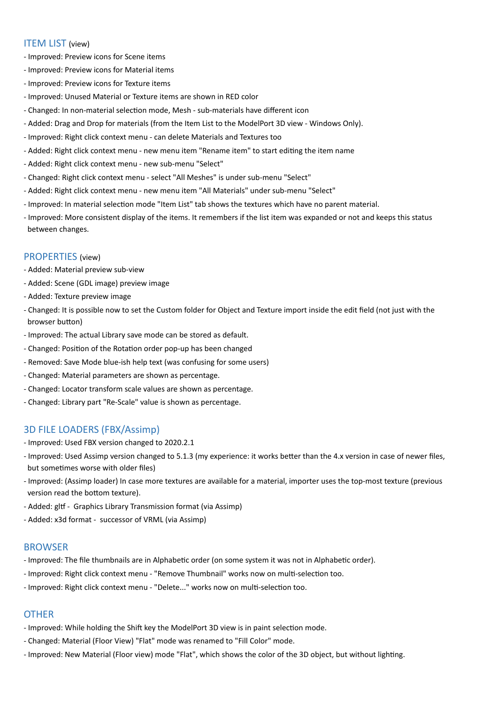#### **ITEM LIST** (view)

- Improved: Preview icons for Scene items
- Improved: Preview icons for Material items
- Improved: Preview icons for Texture items
- Improved: Unused Material or Texture items are shown in RED color
- Changed: In non-material selection mode, Mesh sub-materials have different icon
- Added: Drag and Drop for materials (from the Item List to the ModelPort 3D view Windows Only).
- Improved: Right click context menu can delete Materials and Textures too
- Added: Right click context menu new menu item "Rename item" to start editing the item name
- Added: Right click context menu new sub-menu "Select"
- Changed: Right click context menu select "All Meshes" is under sub-menu "Select"
- Added: Right click context menu new menu item "All Materials" under sub-menu "Select"
- Improved: In material selection mode "Item List" tab shows the textures which have no parent material.
- Improved: More consistent display of the items. It remembers if the list item was expanded or not and keeps this status between changes.

#### PROPERTIES (view)

- Added: Material preview sub-view
- Added: Scene (GDL image) preview image
- Added: Texture preview image
- Changed: It is possible now to set the Custom folder for Object and Texture import inside the edit field (not just with the browser button)
- Improved: The actual Library save mode can be stored as default.
- Changed: Position of the Rotation order pop-up has been changed
- Removed: Save Mode blue-ish help text (was confusing for some users)
- Changed: Material parameters are shown as percentage.
- Changed: Locator transform scale values are shown as percentage.
- Changed: Library part "Re-Scale" value is shown as percentage.

# **3D FILE LOADERS (FBX/Assimp)**

- Improved: Used FBX version changed to 2020.2.1
- Improved: Used Assimp version changed to 5.1.3 (my experience: it works better than the 4.x version in case of newer files, but sometimes worse with older files)
- Improved: (Assimp loader) In case more textures are available for a material, importer uses the top-most texture (previous version read the bottom texture).
- Added: gltf Graphics Library Transmission format (via Assimp)
- Added: x3d format successor of VRML (via Assimp)

#### BROWSER

- Improved: The file thumbnails are in Alphabetic order (on some system it was not in Alphabetic order).
- Improved: Right click context menu "Remove Thumbnail" works now on multi-selection too.
- Improved: Right click context menu "Delete..." works now on multi-selection too.

# **OTHER**

- Improved: While holding the Shift key the ModelPort 3D view is in paint selection mode.
- Changed: Material (Floor View) "Flat" mode was renamed to "Fill Color" mode.
- Improved: New Material (Floor view) mode "Flat", which shows the color of the 3D object, but without lighting.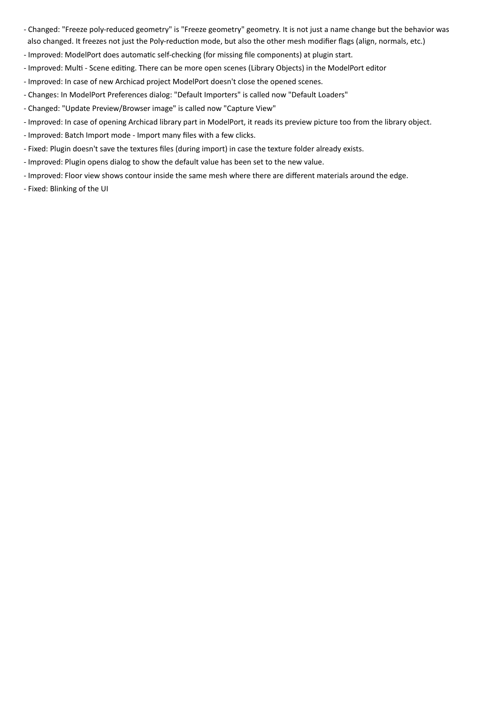- Changed: "Freeze poly-reduced geometry" is "Freeze geometry" geometry. It is not just a name change but the behavior was also changed. It freezes not just the Poly-reduction mode, but also the other mesh modifier flags (align, normals, etc.)
- Improved: ModelPort does automatic self-checking (for missing file components) at plugin start.
- Improved: Multi Scene editing. There can be more open scenes (Library Objects) in the ModelPort editor
- Improved: In case of new Archicad project ModelPort doesn't close the opened scenes.
- Changes: In ModelPort Preferences dialog: "Default Importers" is called now "Default Loaders"
- Changed: "Update Preview/Browser image" is called now "Capture View"
- Improved: In case of opening Archicad library part in ModelPort, it reads its preview picture too from the library object.
- Improved: Batch Import mode Import many files with a few clicks.
- Fixed: Plugin doesn't save the textures files (during import) in case the texture folder already exists.
- Improved: Plugin opens dialog to show the default value has been set to the new value.
- Improved: Floor view shows contour inside the same mesh where there are different materials around the edge.
- Fixed: Blinking of the UI